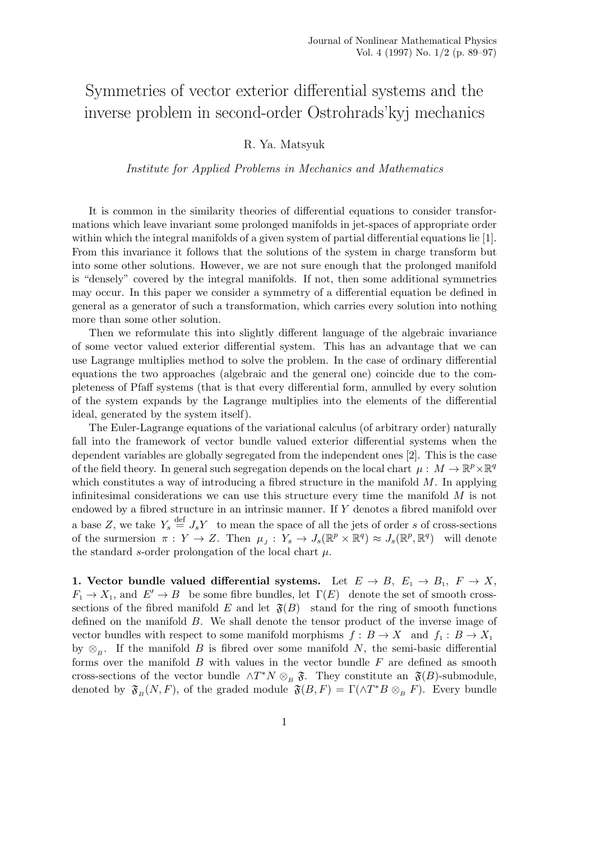## Symmetries of vector exterior differential systems and the inverse problem in second-order Ostrohrads'kyj mechanics

## R. Ya. Matsyuk

## Institute for Applied Problems in Mechanics and Mathematics

It is common in the similarity theories of differential equations to consider transformations which leave invariant some prolonged manifolds in jet-spaces of appropriate order within which the integral manifolds of a given system of partial differential equations lie [1]. From this invariance it follows that the solutions of the system in charge transform but into some other solutions. However, we are not sure enough that the prolonged manifold is "densely" covered by the integral manifolds. If not, then some additional symmetries may occur. In this paper we consider a symmetry of a differential equation be defined in general as a generator of such a transformation, which carries every solution into nothing more than some other solution.

Then we reformulate this into slightly different language of the algebraic invariance of some vector valued exterior differential system. This has an advantage that we can use Lagrange multiplies method to solve the problem. In the case of ordinary differential equations the two approaches (algebraic and the general one) coincide due to the completeness of Pfaff systems (that is that every differential form, annulled by every solution of the system expands by the Lagrange multiplies into the elements of the differential ideal, generated by the system itself).

The Euler-Lagrange equations of the variational calculus (of arbitrary order) naturally fall into the framework of vector bundle valued exterior differential systems when the dependent variables are globally segregated from the independent ones [2]. This is the case of the field theory. In general such segregation depends on the local chart  $\mu : M \to \mathbb{R}^p \times \mathbb{R}^q$ which constitutes a way of introducing a fibred structure in the manifold  $M$ . In applying infinitesimal considerations we can use this structure every time the manifold  $M$  is not endowed by a fibred structure in an intrinsic manner. If Y denotes a fibred manifold over a base Z, we take  $Y_s \stackrel{\text{def}}{=} J_s Y$  to mean the space of all the jets of order s of cross-sections of the surmersion  $\pi: Y \to Z$ . Then  $\mu_J: Y_s \to J_s(\mathbb{R}^p \times \mathbb{R}^q) \approx J_s(\mathbb{R}^p, \mathbb{R}^q)$  will denote the standard s-order prolongation of the local chart  $\mu$ .

1. Vector bundle valued differential systems. Let  $E \to B$ ,  $E_1 \to B_1$ ,  $F \to X$ ,  $F_1 \to X_1$ , and  $E' \to B$  be some fibre bundles, let  $\Gamma(E)$  denote the set of smooth crosssections of the fibred manifold E and let  $\mathfrak{F}(B)$  stand for the ring of smooth functions defined on the manifold B. We shall denote the tensor product of the inverse image of vector bundles with respect to some manifold morphisms  $f : B \to X$  and  $f_1 : B \to X_1$ by  $\otimes_B$ . If the manifold B is fibred over some manifold N, the semi-basic differential forms over the manifold  $B$  with values in the vector bundle  $F$  are defined as smooth cross-sections of the vector bundle  $\wedge T^*N \otimes_B \mathfrak{F}$ . They constitute an  $\mathfrak{F}(B)$ -submodule, denoted by  $\mathfrak{F}_{B}(N,F)$ , of the graded module  $\mathfrak{F}(B,F) = \Gamma(\wedge T^*B \otimes_B F)$ . Every bundle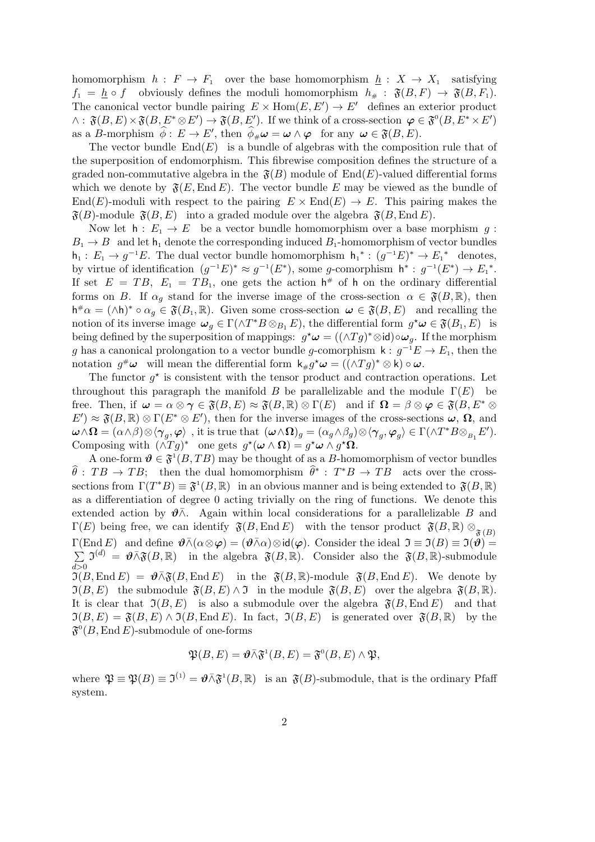homomorphism  $h: F \to F_1$  over the base homomorphism  $h: X \to X_1$  satisfying  $f_1 = \underline{h} \circ f$  obviously defines the moduli homomorphism  $h_{\#} : \mathfrak{F}(B, F) \to \mathfrak{F}(B, F_1)$ . The canonical vector bundle pairing  $E \times Hom(E, E') \to E'$  defines an exterior product  $\wedge$ :  $\mathfrak{F}(B, E) \times \mathfrak{F}(B, E^* \otimes E') \rightarrow \mathfrak{F}(B, E')$ . If we think of a cross-section  $\varphi \in \mathfrak{F}^0(B, E^* \times E')$ as a B-morphism  $\hat{\phi}: E \to E'$ , then  $\hat{\phi}_{\#}\omega = \omega \wedge \varphi$  for any  $\omega \in \mathfrak{F}(B, E)$ .

The vector bundle  $End(E)$  is a bundle of algebras with the composition rule that of the superposition of endomorphism. This fibrewise composition defines the structure of a graded non-commutative algebra in the  $\mathfrak{F}(B)$  module of End(E)-valued differential forms which we denote by  $\mathfrak{F}(E,\text{End }E)$ . The vector bundle E may be viewed as the bundle of  $End(E)$ -moduli with respect to the pairing  $E \times End(E) \rightarrow E$ . This pairing makes the  $\mathfrak{F}(B)$ -module  $\mathfrak{F}(B, E)$  into a graded module over the algebra  $\mathfrak{F}(B, \text{End } E)$ .

Now let  $h: E_1 \to E$  be a vector bundle homomorphism over a base morphism g:  $B_1 \rightarrow B$  and let  $h_1$  denote the corresponding induced  $B_1$ -homomorphism of vector bundles  $h_1: E_1 \to g^{-1}E$ . The dual vector bundle homomorphism  $h_1^*: (g^{-1}E)^* \to E_1^*$  denotes, by virtue of identification  $(g^{-1}E)^* \approx g^{-1}(E^*)$ , some g-comorphism  $h^* : g^{-1}(E^*) \to E_1^*$ . If set  $E = TB$ ,  $E_1 = TB_1$ , one gets the action  $h^{\#}$  of h on the ordinary differential forms on B. If  $\alpha_q$  stand for the inverse image of the cross-section  $\alpha \in \mathfrak{F}(B,\mathbb{R})$ , then  $h^{\#}\alpha = (\wedge h)^* \circ \alpha_g \in \mathfrak{F}(B_1,\mathbb{R})$ . Given some cross-section  $\omega \in \mathfrak{F}(B,E)$  and recalling the notion of its inverse image  $\omega_g \in \Gamma(\wedge T^*B \otimes_{B_1} E)$ , the differential form  $g^* \omega \in \mathfrak{F}(B_1, E)$  is being defined by the superposition of mappings:  $g^* \omega = ((\wedge Tg)^* \otimes id) \circ \omega_g$ . If the morphism g has a canonical prolongation to a vector bundle g-comorphism  $\mathsf{k}: g^{-1}E \to E_1$ , then the notation  $g^{\#}\omega$  will mean the differential form  $k_{\#}g^{\star}\omega = ((\wedge Tg)^{*} \otimes k) \circ \omega$ .

The functor  $g^*$  is consistent with the tensor product and contraction operations. Let throughout this paragraph the manifold B be parallelizable and the module  $\Gamma(E)$  be free. Then, if  $\omega = \alpha \otimes \gamma \in \mathfrak{F}(B, E) \approx \mathfrak{F}(B, \mathbb{R}) \otimes \Gamma(E)$  and if  $\Omega = \beta \otimes \varphi \in \mathfrak{F}(B, E^* \otimes$  $E' \approx \mathfrak{F}(B,\mathbb{R}) \otimes \Gamma(E^* \otimes E'),$  then for the inverse images of the cross-sections  $\omega$ ,  $\Omega$ , and  $\boldsymbol{\omega} \wedge \boldsymbol{\Omega} = (\alpha \wedge \beta) \otimes \langle \boldsymbol{\gamma}_g, \boldsymbol{\varphi} \rangle \ \ , \ \text{it is true that} \ \ (\boldsymbol{\omega} \wedge \boldsymbol{\Omega})_g = (\alpha_g \wedge \beta_g) \otimes \langle \boldsymbol{\gamma}_g, \boldsymbol{\varphi}_g \rangle \in \Gamma(\wedge T^*B \otimes_{B_1} E').$ Composing with  $(\tilde{\wedge} Tg)^*$  one gets  $g^*(\omega \wedge \Omega) = g^*\omega \wedge g^*\Omega$ .

A one-form  $\mathbf{\vartheta} \in \mathfrak{F}^1(B, TB)$  may be thought of as a B-homomorphism of vector bundles  $\widehat{\theta}$ :  $TB \to TB$ ; then the dual homomorphism  $\widehat{\theta}^*$ :  $T^*B \to TB$  acts over the crosssections from  $\Gamma(T^*B) \equiv \mathfrak{F}^1(B,\mathbb{R})$  in an obvious manner and is being extended to  $\mathfrak{F}(B,\mathbb{R})$ as a differentiation of degree 0 acting trivially on the ring of functions. We denote this extended action by  $\theta \bar{\wedge}$ . Again within local considerations for a parallelizable B and  $\Gamma(E)$  being free, we can identify  $\mathfrak{F}(B,\text{End }E)$  with the tensor product  $\mathfrak{F}(B,\mathbb{R})\otimes_{\mathfrak{F}(B)}$  $\Gamma(\text{End } E)$  and define  $\vartheta \bar{\wedge}(\alpha \otimes \varphi) = (\vartheta \bar{\wedge} \alpha) \otimes id(\varphi)$ . Consider the ideal  $\mathfrak{I} \equiv \mathfrak{I}(B) \equiv \mathfrak{I}(\vartheta) =$ P  $d > 0$  $\mathfrak{I}^{(d)} = \mathfrak{\vartheta} \bar{\wedge} \mathfrak{F}(B,\mathbb{R})$  in the algebra  $\mathfrak{F}(B,\mathbb{R})$ . Consider also the  $\mathfrak{F}(B,\mathbb{R})$ -submodule  $\mathfrak{I}(B,\text{End } E) = \mathfrak{G} \overline{\wedge} \mathfrak{F}(B,\text{End } E)$  in the  $\mathfrak{F}(B,\mathbb{R})$ -module  $\mathfrak{F}(B,\text{End } E)$ . We denote by  $\mathfrak{I}(B, E)$  the submodule  $\mathfrak{F}(B, E) \wedge \mathfrak{I}$  in the module  $\mathfrak{F}(B, E)$  over the algebra  $\mathfrak{F}(B, \mathbb{R})$ . It is clear that  $\mathfrak{I}(B, E)$  is also a submodule over the algebra  $\mathfrak{F}(B, \text{End } E)$  and that  $\mathfrak{I}(B, E) = \mathfrak{F}(B, E) \wedge \mathfrak{I}(B, \text{End } E)$ . In fact,  $\mathfrak{I}(B, E)$  is generated over  $\mathfrak{F}(B, \mathbb{R})$  by the  $\mathfrak{F}^0(B,\operatorname{End} E)$ -submodule of one-forms

$$
\mathfrak{P}(B,E)=\boldsymbol{\vartheta}\barwedge\mathfrak{F}^1(B,E)=\mathfrak{F}^0(B,E)\wedge\mathfrak{P},
$$

where  $\mathfrak{P} \equiv \mathfrak{P}(B) \equiv \mathfrak{I}^{(1)} = \mathfrak{G} \bar{\wedge} \mathfrak{F}^1(B,\mathbb{R})$  is an  $\mathfrak{F}(B)$ -submodule, that is the ordinary Pfaff system.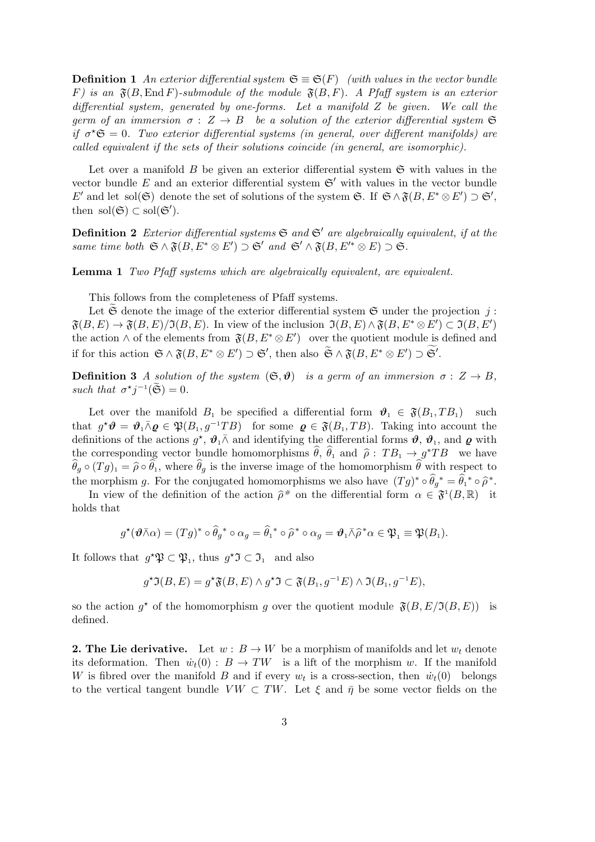**Definition 1** An exterior differential system  $\mathfrak{S} \equiv \mathfrak{S}(F)$  (with values in the vector bundle F) is an  $\mathfrak{F}(B, \text{End } F)$ -submodule of the module  $\mathfrak{F}(B, F)$ . A Pfaff system is an exterior differential system, generated by one-forms. Let a manifold  $Z$  be given. We call the germ of an immersion  $\sigma : Z \to B$  be a solution of the exterior differential system  $\mathfrak S$ if  $\sigma^* \mathfrak{S} = 0$ . Two exterior differential systems (in general, over different manifolds) are called equivalent if the sets of their solutions coincide (in general, are isomorphic).

Let over a manifold  $B$  be given an exterior differential system  $\mathfrak{S}$  with values in the vector bundle E and an exterior differential system  $\mathfrak{S}'$  with values in the vector bundle E' and let sol(G) denote the set of solutions of the system G. If  $\mathfrak{S} \wedge \mathfrak{F}(B, E^* \otimes E') \supset \mathfrak{S}'$ , then sol $(\mathfrak{S}) \subset \text{sol}(\mathfrak{S}')$ .

**Definition 2** Exterior differential systems  $\mathfrak{S}$  and  $\mathfrak{S}'$  are algebraically equivalent, if at the same time both  $\mathfrak{S} \wedge \mathfrak{F}(B, E^* \otimes E') \supset \mathfrak{S}'$  and  $\mathfrak{S}' \wedge \mathfrak{F}(B, E'^* \otimes E) \supset \mathfrak{S}$ .

**Lemma 1** Two Pfaff systems which are algebraically equivalent, are equivalent.

This follows from the completeness of Pfaff systems.

Let  $\mathfrak S$  denote the image of the exterior differential system  $\mathfrak S$  under the projection j:  $\mathfrak{F}(B, E) \to \mathfrak{F}(B, E)/\mathfrak{I}(B, E)$ . In view of the inclusion  $\mathfrak{I}(B, E) \wedge \mathfrak{F}(B, E^* \otimes E') \subset \mathfrak{I}(B, E')$ the action  $\wedge$  of the elements from  $\mathfrak{F}(B, E^* \otimes E')$  over the quotient module is defined and if for this action  $\mathfrak{S} \wedge \mathfrak{F}(B, E^* \otimes E') \supset \mathfrak{S}'$ , then also  $\widetilde{\mathfrak{S}} \wedge \mathfrak{F}(B, E^* \otimes E') \supset \mathfrak{S}'$ .

**Definition 3** A solution of the system  $(\mathfrak{S}, \mathfrak{D})$  is a germ of an immersion  $\sigma : Z \to B$ , such that  $\sigma^* j^{-1}(\widetilde{\mathfrak{S}}) = 0$ .

Let over the manifold  $B_1$  be specified a differential form  $\vartheta_1 \in \mathfrak{F}(B_1, TB_1)$  such that  $g^* \mathbf{\vartheta} = \mathbf{\vartheta}_1 \bar{\wedge} \mathbf{\varrho} \in \mathfrak{P}(B_1, g^{-1}TB)$  for some  $\mathbf{\varrho} \in \mathfrak{F}(B_1, TB)$ . Taking into account the definitions of the actions  $g^*, \vartheta_1 \bar{\wedge}$  and identifying the differential forms  $\vartheta, \vartheta_1$ , and  $\varrho$  with the corresponding vector bundle homomorphisms  $\hat{\theta}$ ,  $\hat{\theta}_1$  and  $\hat{\rho}$ :  $TB_1 \rightarrow g^*TB$  we have  $\theta_g \circ (Tg)_1 = \hat{\rho} \circ \theta_1$ , where  $\theta_g$  is the inverse image of the homomorphism  $\theta$  with respect to the morphism g. For the conjugated homomorphisms we also have  $(Tg)^* \circ \widehat{\theta}_g^* = \widehat{\theta}_1^* \circ \widehat{\rho}^*$ .

In view of the definition of the action  $\hat{\rho}^*$  on the differential form  $\alpha \in \mathfrak{F}^1(B,\mathbb{R})$  it holds that

$$
g^{\star}(\boldsymbol{\vartheta}\bar{\wedge}\alpha)=(Tg)^{\star}\circ\widehat{\theta}_g{}^{\star}\circ\alpha_g=\widehat{\theta}_1{}^{\star}\circ\widehat{\rho}{}^{\star}\circ\alpha_g=\boldsymbol{\vartheta}_1\bar{\wedge}\widehat{\rho}{}^{\star}\alpha\in\mathfrak{P}_1\equiv\mathfrak{P}(B_1).
$$

It follows that  $g^*\mathfrak{P} \subset \mathfrak{P}_1$ , thus  $g^*\mathfrak{I} \subset \mathfrak{I}_1$  and also

$$
g^{\star}\mathfrak{I}(B,E) = g^{\star}\mathfrak{F}(B,E) \wedge g^{\star}\mathfrak{I} \subset \mathfrak{F}(B_1,g^{-1}E) \wedge \mathfrak{I}(B_1,g^{-1}E),
$$

so the action  $g^*$  of the homomorphism g over the quotient module  $\mathfrak{F}(B, E/\mathfrak{I}(B, E))$  is defined.

**2. The Lie derivative.** Let  $w : B \to W$  be a morphism of manifolds and let  $w_t$  denote its deformation. Then  $\dot{w}_t(0) : B \to TW$  is a lift of the morphism w. If the manifold W is fibred over the manifold B and if every  $w_t$  is a cross-section, then  $\dot{w}_t(0)$  belongs to the vertical tangent bundle  $VW \subset TW$ . Let  $\xi$  and  $\bar{\eta}$  be some vector fields on the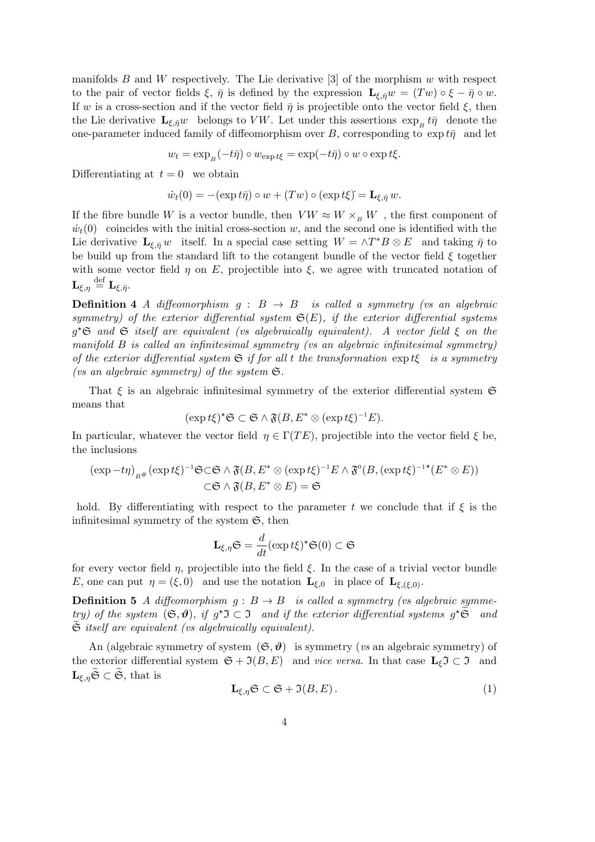manifolds B and W respectively. The Lie derivative  $\lbrack 3 \rbrack$  of the morphism w with respect to the pair of vector fields  $\xi$ ,  $\bar{\eta}$  is defined by the expression  $\mathbf{L}_{\xi,\bar{\eta}}w = (Tw) \circ \xi - \bar{\eta} \circ w$ . If w is a cross-section and if the vector field  $\bar{\eta}$  is projectible onto the vector field  $\xi$ , then the Lie derivative  $\mathbf{L}_{\xi,\bar{\eta}}w$  belongs to VW. Let under this assertions  $\exp_B t\bar{\eta}$  denote the one-parameter induced family of diffeomorphism over B, corresponding to  $\exp t\bar{\eta}$  and let

$$
w_t = \exp_B(-t\bar{\eta}) \circ w_{\exp t\xi} = \exp(-t\bar{\eta}) \circ w \circ \exp t\xi.
$$

Differentiating at  $t = 0$  we obtain

$$
\dot{w}_t(0) = -(\exp t\bar{\eta}) \circ w + (Tw) \circ (\exp t\xi) = \mathbf{L}_{\xi, \bar{\eta}} w.
$$

If the fibre bundle W is a vector bundle, then  $V W \approx W \times_B W$ , the first component of  $\dot{w}_t(0)$  coincides with the initial cross-section w, and the second one is identified with the Lie derivative  $\mathbf{L}_{\xi,\bar{\eta}}w$  itself. In a special case setting  $W = \wedge T^*B \otimes E$  and taking  $\bar{\eta}$  to be build up from the standard lift to the cotangent bundle of the vector field  $\xi$  together with some vector field  $\eta$  on E, projectible into  $\xi$ , we agree with truncated notation of  ${\bf L}_{\xi,\eta} \stackrel{\rm def}{=} {\bf L}_{\xi,\bar{\eta}}.$ 

**Definition 4** A diffeomorphism  $q : B \rightarrow B$  is called a symmetry (vs an algebraic symmetry) of the exterior differential system  $\mathfrak{S}(E)$ , if the exterior differential systems  $g^{\star}$ **G** and **G** itself are equivalent (vs algebraically equivalent). A vector field  $\xi$  on the manifold B is called an infinitesimal symmetry (vs an algebraic infinitesimal symmetry) of the exterior differential system  $\mathfrak S$  if for all t the transformation  $\exp t\xi$  is a symmetry (vs an algebraic symmetry) of the system  $\mathfrak{S}.$ 

That  $\xi$  is an algebraic infinitesimal symmetry of the exterior differential system  $\mathfrak{S}$ means that

$$
(\exp t\xi)^{\star}\mathfrak{S} \subset \mathfrak{S} \wedge \mathfrak{F}(B, E^* \otimes (\exp t\xi)^{-1}E).
$$

In particular, whatever the vector field  $\eta \in \Gamma(TE)$ , projectible into the vector field  $\xi$  be, the inclusions

$$
(\exp - t\eta)_{B^{\#}} (\exp t\xi)^{-1} \mathfrak{S} \subset \mathfrak{S} \wedge \mathfrak{F}(B, E^* \otimes (\exp t\xi)^{-1} E \wedge \mathfrak{F}^0(B, (\exp t\xi)^{-1*}(E^* \otimes E))
$$
  

$$
\subset \mathfrak{S} \wedge \mathfrak{F}(B, E^* \otimes E) = \mathfrak{S}
$$

hold. By differentiating with respect to the parameter t we conclude that if  $\xi$  is the infinitesimal symmetry of the system  $\mathfrak{S}$ , then

$$
\mathbf{L}_{\xi,\eta}\mathfrak{S} = \frac{d}{dt}(\exp t\xi)^{\star}\mathfrak{S}(0) \subset \mathfrak{S}
$$

for every vector field  $\eta$ , projectible into the field  $\xi$ . In the case of a trivial vector bundle E, one can put  $\eta = (\xi, 0)$  and use the notation  $\mathbf{L}_{\xi,0}$  in place of  $\mathbf{L}_{\xi,(\xi,0)}$ .

**Definition 5** A diffeomorphism  $g : B \to B$  is called a symmetry (vs algebraic symmetry) of the system  $(\mathfrak{S}, \mathfrak{D})$ , if  $g^{\star} \mathfrak{I} \subset \mathfrak{I}$  and if the exterior differential systems  $g^{\star} \widetilde{\mathfrak{S}}$  and  $\mathfrak S$  itself are equivalent (vs algebraically equivalent).

An (algebraic symmetry of system  $(\mathfrak{S}, \mathfrak{D})$  is symmetry (vs an algebraic symmetry) of the exterior differential system  $\mathfrak{S} + \mathfrak{I}(B, E)$  and vice versa. In that case  $\mathbf{L}_{\xi} \mathfrak{I} \subset \mathfrak{I}$  and  $\mathbf{L}_{\xi,\eta}\widetilde{\mathfrak{S}} \subset \widetilde{\mathfrak{S}},$  that is

$$
\mathbf{L}_{\xi,\eta}\mathfrak{S} \subset \mathfrak{S} + \mathfrak{I}(B,E) \,. \tag{1}
$$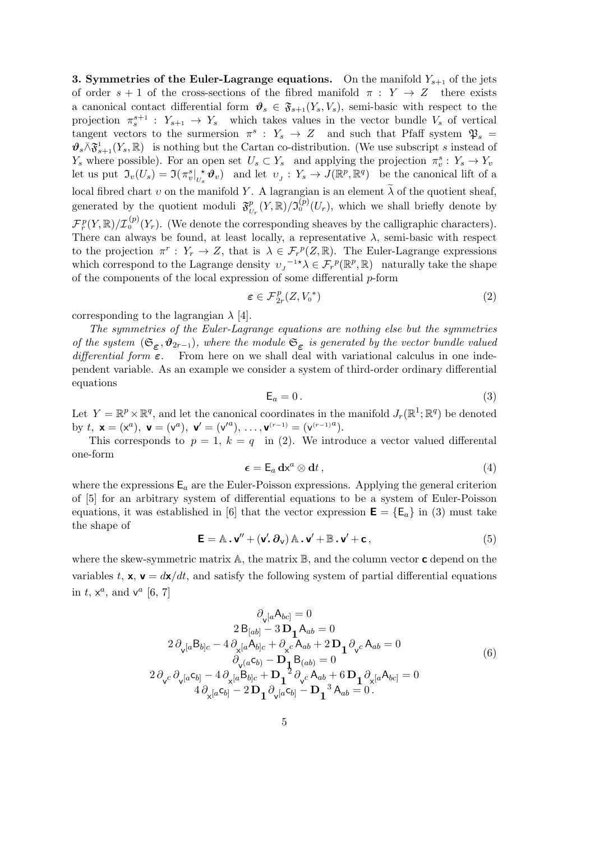**3. Symmetries of the Euler-Lagrange equations.** On the manifold  $Y_{s+1}$  of the jets of order  $s + 1$  of the cross-sections of the fibred manifold  $\pi : Y \to Z$  there exists a canonical contact differential form  $\vartheta_s \in \mathfrak{F}_{s+1}(Y_s, V_s)$ , semi-basic with respect to the projection  $\pi_s^{s+1}$ :  $Y_{s+1} \to Y_s$  which takes values in the vector bundle  $V_s$  of vertical tangent vectors to the surmersion  $\pi^s$ :  $Y_s \to Z$  and such that Pfaff system  $\mathfrak{P}_s =$  $\mathcal{F}_s \wedge \mathfrak{F}_{s+1}^1(Y_s, \mathbb{R})$  is nothing but the Cartan co-distribution. (We use subscript s instead of  $Y_s$  where possible). For an open set  $U_s \subset Y_s$  and applying the projection  $\pi_v^s: Y_s \to Y_v$ let us put  $\mathfrak{I}_v(U_s) = \mathfrak{I}(\pi_v^s \mid_{U_s}^{\star} \mathfrak{G}_v)$  and let  $v_j : Y_s \to J(\mathbb{R}^p, \mathbb{R}^q)$  be the canonical lift of a local fibred chart v on the manifold Y. A lagrangian is an element  $\tilde{\lambda}$  of the quotient sheaf, generated by the quotient moduli  $\mathfrak{F}^p$  $_{U_r}^p(Y,\mathbb{R})/\mathfrak{I}_0^{(p)}(U_r)$ , which we shall briefly denote by  $\mathcal{F}^p_r(Y,\mathbb{R})/\mathcal{I}^{(p)}_0(Y_r)$ . (We denote the corresponding sheaves by the calligraphic characters). There can always be found, at least locally, a representative  $\lambda$ , semi-basic with respect to the projection  $\pi^r: Y_r \to Z$ , that is  $\lambda \in \mathcal{F}_r^p(Z, \mathbb{R})$ . The Euler-Lagrange expressions which correspond to the Lagrange density  $v_J^{-1*\lambda} \in \mathcal{F}_r^p(\mathbb{R}^p, \mathbb{R})$  naturally take the shape of the components of the local expression of some differential  $p$ -form

$$
\varepsilon \in \mathcal{F}_{2r}^p(Z, V_0^*)
$$
 (2)

corresponding to the lagrangian  $\lambda$  [4].

The symmetries of the Euler-Lagrange equations are nothing else but the symmetries of the system  $(\mathfrak{S}_{\epsilon}, \mathfrak{\theta}_{2r-1})$ , where the module  $\mathfrak{S}_{\epsilon}$  is generated by the vector bundle valued differential form  $\varepsilon$ . From here on we shall deal with variational calculus in one independent variable. As an example we consider a system of third-order ordinary differential equations

$$
\mathsf{E}_a = 0. \tag{3}
$$

Let  $Y = \mathbb{R}^p \times \mathbb{R}^q$ , and let the canonical coordinates in the manifold  $J_r(\mathbb{R}^1; \mathbb{R}^q)$  be denoted by  $t, \mathbf{x} = (x^a), \mathbf{v} = (v^a), \mathbf{v}' = (v'^a), \dots, \mathbf{v}^{(r-1)} = (v^{(r-1)a}).$ 

This corresponds to  $p = 1$ ,  $k = q$  in (2). We introduce a vector valued differental one-form

$$
\boldsymbol{\epsilon} = \mathsf{E}_a \, \mathbf{d} \mathbf{x}^a \otimes \mathbf{d} t \,, \tag{4}
$$

where the expressions  $E_a$  are the Euler-Poisson expressions. Applying the general criterion of [5] for an arbitrary system of differential equations to be a system of Euler-Poisson equations, it was established in [6] that the vector expression  $\mathbf{E} = \{E_a\}$  in (3) must take the shape of

$$
\mathbf{E} = \mathbb{A} \cdot \mathbf{v}'' + (\mathbf{v}' \cdot \partial_{\mathbf{v}}) \mathbb{A} \cdot \mathbf{v}' + \mathbb{B} \cdot \mathbf{v}' + \mathbf{c},
$$
\n(5)

where the skew-symmetric matrix  $\mathbb{A}$ , the matrix  $\mathbb{B}$ , and the column vector **c** depend on the variables t,  $x, y = dx/dt$ , and satisfy the following system of partial differential equations in  $t, x^a$ , and  $v^a$  [6, 7]

$$
\partial_{\mathbf{v}}[a\mathbf{A}_{bc}] = 0
$$
\n
$$
2 \mathbf{B}_{[ab]} - 3 \mathbf{D}_{1} \mathbf{A}_{ab} = 0
$$
\n
$$
2 \partial_{\mathbf{v}}[a\mathbf{B}_{b]c} - 4 \partial_{\mathbf{x}}[a\mathbf{A}_{b]c} + \partial_{\mathbf{x}}c \mathbf{A}_{ab} + 2 \mathbf{D}_{1} \partial_{\mathbf{v}}c \mathbf{A}_{ab} = 0
$$
\n
$$
\partial_{\mathbf{v}}(a\mathbf{C}_{b)} - \mathbf{D}_{1} \mathbf{B}_{(ab)} = 0
$$
\n
$$
2 \partial_{\mathbf{v}}c \partial_{\mathbf{v}}[a\mathbf{C}_{b]} - 4 \partial_{\mathbf{x}}[a\mathbf{B}_{b]c} + \mathbf{D}_{1}^{2} \partial_{\mathbf{v}}c \mathbf{A}_{ab} + 6 \mathbf{D}_{1} \partial_{\mathbf{x}}[a\mathbf{A}_{bc}] = 0
$$
\n
$$
4 \partial_{\mathbf{x}}[a\mathbf{C}_{b]} - 2 \mathbf{D}_{1} \partial_{\mathbf{v}}[a\mathbf{C}_{b]} - \mathbf{D}_{1}^{3} \mathbf{A}_{ab} = 0.
$$
\n(6)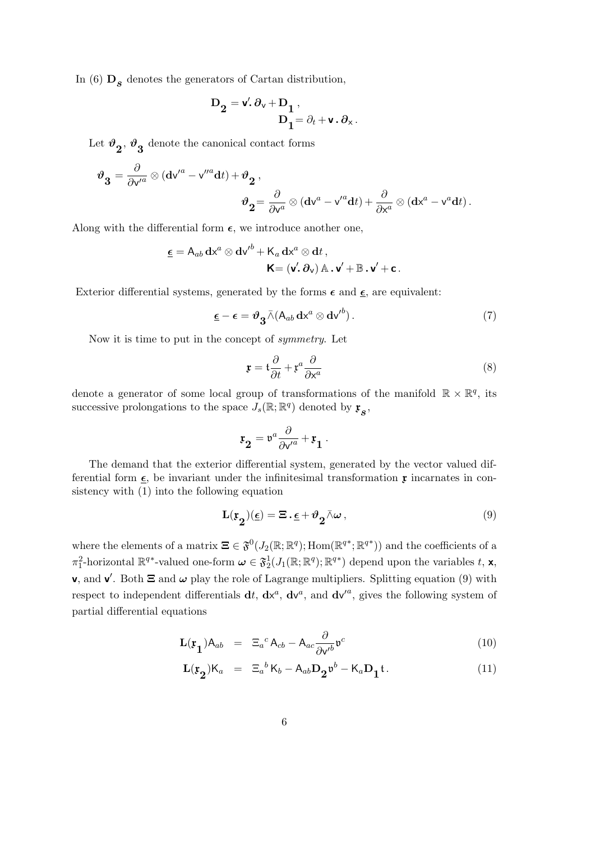In (6)  $\mathbf{D}_{s}$  denotes the generators of Cartan distribution,

$$
\begin{aligned} \mathbf{D_2} &= \textbf{v}'.\,\partial_{\textbf{v}} + \mathbf{D_1}\;, \\ \mathbf{D_1} &= \partial_t + \textbf{v}\,.\,\partial_{\textbf{x}}\,. \end{aligned}
$$

Let  $\boldsymbol{\vartheta_2},\boldsymbol{\vartheta_3}$  denote the canonical contact forms

$$
\begin{aligned} \vartheta_{\mathbf{3}}&=\frac{\partial}{\partial \mathsf{v}'^a}\otimes(\mathbf{d}\mathsf{v}'^a-\mathsf{v}''^a\mathbf{d}t)+\vartheta_{\mathbf{2}}\,,\\ \vartheta_{\mathbf{2}}&=\frac{\partial}{\partial \mathsf{v}^a}\otimes(\mathbf{d}\mathsf{v}^a-\mathsf{v}'^a\mathbf{d}t)+\frac{\partial}{\partial \mathsf{x}^a}\otimes(\mathbf{d}\mathsf{x}^a-\mathsf{v}^a\mathbf{d}t)\,. \end{aligned}
$$

Along with the differential form  $\epsilon$ , we introduce another one,

$$
\underline{\epsilon} = A_{ab} dx^{a} \otimes dv^{\prime b} + K_{a} dx^{a} \otimes dt ,
$$

$$
\mathbf{K} = (\mathbf{v}', \partial_{\mathbf{v}}) \mathbb{A} \cdot \mathbf{v}' + \mathbb{B} \cdot \mathbf{v}' + \mathbf{c} .
$$

Exterior differential systems, generated by the forms  $\epsilon$  and  $\underline{\epsilon}$ , are equivalent:

$$
\underline{\epsilon} - \epsilon = \vartheta_{\mathbf{3}} \bar{\wedge} (\mathsf{A}_{ab} \, \mathbf{dx}^a \otimes \mathbf{dv}^{b}). \tag{7}
$$

Now it is time to put in the concept of symmetry. Let

$$
\mathbf{r} = \mathfrak{t} \frac{\partial}{\partial t} + \mathfrak{r}^a \frac{\partial}{\partial x^a} \tag{8}
$$

denote a generator of some local group of transformations of the manifold  $\mathbb{R} \times \mathbb{R}^q$ , its successive prolongations to the space  $J_s(\mathbb{R}; \mathbb{R}^q)$  denoted by  $\mathfrak{x}_s$ ,

$$
\mathfrak{x}_2 = \mathfrak{v}^{\mathfrak{a}} \frac{\partial}{\partial \mathsf{v}'^{\mathfrak{a}}} + \mathfrak{x}_1 \ .
$$

The demand that the exterior differential system, generated by the vector valued differential form  $\epsilon$ , be invariant under the infinitesimal transformation  $\mathfrak x$  incarnates in consistency with (1) into the following equation

$$
\mathbf{L}(\mathfrak{x}_2)(\underline{\epsilon}) = \Xi \cdot \underline{\epsilon} + \vartheta_2 \bar{\wedge} \omega \,, \tag{9}
$$

where the elements of a matrix  $\Xi \in \mathfrak{F}^0(J_2(\mathbb{R}; \mathbb{R}^q); Hom(\mathbb{R}^{q*}; \mathbb{R}^{q*}))$  and the coefficients of a  $\pi_1^2$ -horizontal  $\mathbb{R}^{q*}$ -valued one-form  $\boldsymbol{\omega} \in \mathfrak{F}_2^1(J_1(\mathbb{R}; \mathbb{R}^q); \mathbb{R}^{q*})$  depend upon the variables t, **x**, **v**, and **v'**. Both  $\Xi$  and  $\omega$  play the role of Lagrange multipliers. Splitting equation (9) with respect to independent differentials  $dt, dx^a, dv^a$ , and  $dv'^a$ , gives the following system of partial differential equations

$$
\mathbf{L}(\mathbf{r}_1) \mathbf{A}_{ab} = \Xi_a{}^c \mathbf{A}_{cb} - \mathbf{A}_{ac} \frac{\partial}{\partial \mathbf{v}'} b^c \tag{10}
$$

$$
\mathbf{L}(\mathbf{r}_2) \mathsf{K}_a = \Xi_a{}^b \mathsf{K}_b - \mathsf{A}_{ab} \mathbf{D}_2 \mathfrak{v}^b - \mathsf{K}_a \mathbf{D}_1 \mathfrak{t}.
$$
 (11)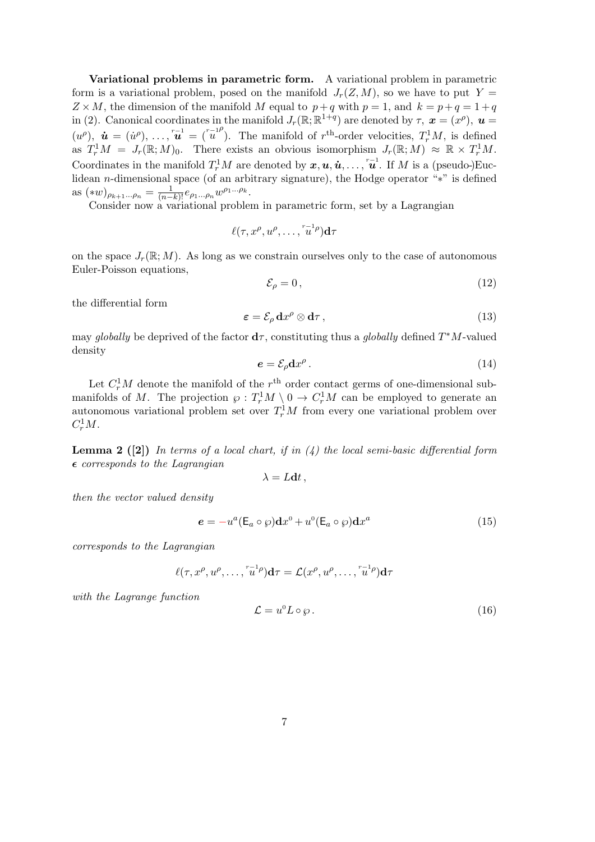Variational problems in parametric form. A variational problem in parametric form is a variational problem, posed on the manifold  $J_r(Z, M)$ , so we have to put  $Y =$  $Z \times M$ , the dimension of the manifold M equal to  $p+q$  with  $p=1$ , and  $k = p+q = 1+q$ in (2). Canonical coordinates in the manifold  $J_r(\mathbb{R}; \mathbb{R}^{1+q})$  are denoted by  $\tau$ ,  $\boldsymbol{x} = (x^{\rho})$ ,  $\boldsymbol{u} =$  $(u^{\rho}), \mathbf{\hat{u}} = (\dot{u}^{\rho}), \ldots, \ddot{u}^{\dagger} = (\ddot{u}^{\rho})$ . The manifold of  $r^{\text{th}}$ -order velocities,  $T_r^1 M$ , is defined as  $T_r^1 M = J_r(\mathbb{R}; M)_0$ . There exists an obvious isomorphism  $J_r(\mathbb{R}; M) \approx \mathbb{R} \times T_r^1 M$ . Coordinates in the manifold  $T_r^1M$  are denoted by  $x, u, \dot{u}, \ldots, \overline{u}^1$ . If M is a (pseudo-)Euclidean n-dimensional space (of an arbitrary signature), the Hodge operator "∗" is defined as  $(\ast w)_{\rho_{k+1}...\rho_n} = \frac{1}{(n-k)!} e_{\rho_1...\rho_n} w^{\rho_1...\rho_k}.$ 

Consider now a variational problem in parametric form, set by a Lagrangian

$$
\ell(\tau, x^{\rho}, u^{\rho}, \ldots, \tilde{u}^{1 \rho}) d\tau
$$

on the space  $J_r(\mathbb{R}; M)$ . As long as we constrain ourselves only to the case of autonomous Euler-Poisson equations,

$$
\mathcal{E}_{\rho} = 0 \,, \tag{12}
$$

the differential form

$$
\varepsilon = \mathcal{E}_{\rho} \, dx^{\rho} \otimes d\tau \,, \tag{13}
$$

may globally be deprived of the factor  $d\tau$ , constituting thus a globally defined  $T^*M$ -valued density

$$
e = \mathcal{E}_{\rho} \mathbf{d} x^{\rho} \,. \tag{14}
$$

Let  $C_r^1M$  denote the manifold of the  $r<sup>th</sup>$  order contact germs of one-dimensional submanifolds of M. The projection  $\varphi: T_r^1M \setminus 0 \to C_r^1M$  can be employed to generate an autonomous variational problem set over  $T_r^1M$  from every one variational problem over  $C_r^1M$ .

**Lemma 2** ([2]) In terms of a local chart, if in  $(4)$  the local semi-basic differential form  $\epsilon$  corresponds to the Lagrangian

$$
\lambda = L dt,
$$

then the vector valued density

$$
\mathbf{e} = -u^a (\mathsf{E}_a \circ \wp) \mathbf{d} x^0 + u^0 (\mathsf{E}_a \circ \wp) \mathbf{d} x^a \tag{15}
$$

corresponds to the Lagrangian

$$
\ell(\tau, x^{\rho}, u^{\rho}, \dots, \overline{u}^{1 \rho}) \mathbf{d}\tau = \mathcal{L}(x^{\rho}, u^{\rho}, \dots, \overline{u}^{1 \rho}) \mathbf{d}\tau
$$

with the Lagrange function

$$
\mathcal{L} = u^0 L \circ \wp. \tag{16}
$$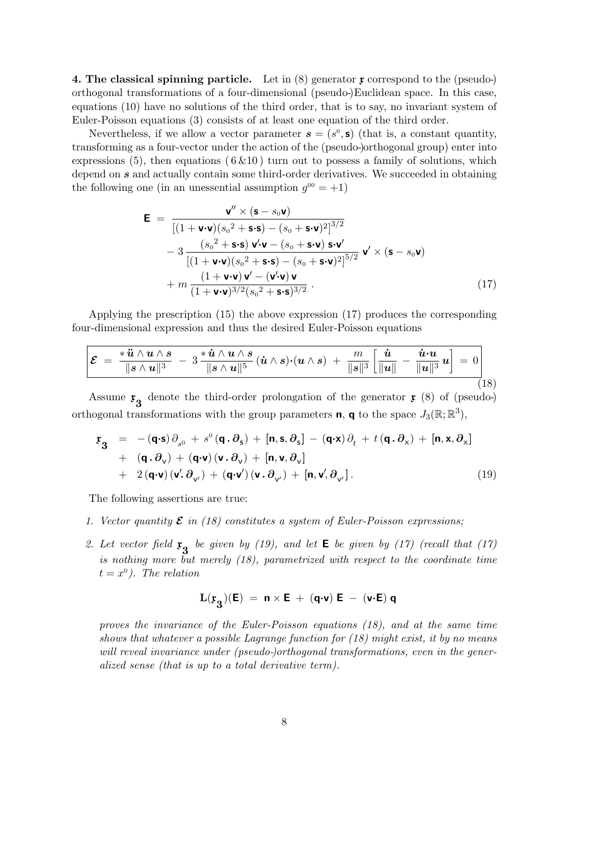4. The classical spinning particle. Let in  $(8)$  generator x correspond to the (pseudo-) orthogonal transformations of a four-dimensional (pseudo-)Euclidean space. In this case, equations (10) have no solutions of the third order, that is to say, no invariant system of Euler-Poisson equations (3) consists of at least one equation of the third order.

Nevertheless, if we allow a vector parameter  $s = (s^0, \mathbf{s})$  (that is, a constant quantity, transforming as a four-vector under the action of the (pseudo-)orthogonal group) enter into expressions (5), then equations ( $6\&10$ ) turn out to possess a family of solutions, which depend on s and actually contain some third-order derivatives. We succeeded in obtaining the following one (in an unessential assumption  $g^{00} = +1$ )

$$
\mathbf{E} = \frac{\mathbf{v}'' \times (\mathbf{s} - s_0 \mathbf{v})}{\left[ (1 + \mathbf{v} \cdot \mathbf{v})(s_0^2 + \mathbf{s} \cdot \mathbf{s}) - (s_0 + \mathbf{s} \cdot \mathbf{v})^2 \right]^{3/2}} - 3 \frac{(s_0^2 + \mathbf{s} \cdot \mathbf{s}) \mathbf{v}' \cdot \mathbf{v} - (s_0 + \mathbf{s} \cdot \mathbf{v}) \mathbf{s} \cdot \mathbf{v}'}{\left[ (1 + \mathbf{v} \cdot \mathbf{v})(s_0^2 + \mathbf{s} \cdot \mathbf{s}) - (s_0 + \mathbf{s} \cdot \mathbf{v})^2 \right]^{5/2}} \mathbf{v}' \times (\mathbf{s} - s_0 \mathbf{v}) + m \frac{(1 + \mathbf{v} \cdot \mathbf{v}) \mathbf{v}' - (\mathbf{v}' \cdot \mathbf{v}) \mathbf{v}}{(1 + \mathbf{v} \cdot \mathbf{v})^{3/2} (s_0^2 + \mathbf{s} \cdot \mathbf{s})^{3/2}}.
$$
\n(17)

Applying the prescription (15) the above expression (17) produces the corresponding four-dimensional expression and thus the desired Euler-Poisson equations

$$
\mathcal{E} = \frac{\ast \ddot{u} \wedge u \wedge s}{\|s \wedge u\|^3} - 3 \frac{\ast \dot{u} \wedge u \wedge s}{\|s \wedge u\|^5} (\dot{u} \wedge s) \cdot (u \wedge s) + \frac{m}{\|s\|^3} \left[\frac{\dot{u}}{\|u\|} - \frac{\dot{u} \cdot u}{\|u\|^3} u\right] = 0 \qquad (18)
$$

Assume  $\mathfrak{r}_3$  denote the third-order prolongation of the generator  $\mathfrak{r}$  (8) of (pseudo-) orthogonal transformations with the group parameters **n**, **q** to the space  $J_3(\mathbb{R}; \mathbb{R}^3)$ ,

$$
\mathbf{r}_{3} = -(\mathbf{q} \cdot \mathbf{s}) \partial_{s^{0}} + s^{0} (\mathbf{q} \cdot \partial_{s}) + [\mathbf{n}, \mathbf{s}, \partial_{s}] - (\mathbf{q} \cdot \mathbf{x}) \partial_{t} + t (\mathbf{q} \cdot \partial_{x}) + [\mathbf{n}, \mathbf{x}, \partial_{x}] \n+ (\mathbf{q} \cdot \partial_{v}) + (\mathbf{q} \cdot \mathbf{v}) (\mathbf{v} \cdot \partial_{v}) + [\mathbf{n}, \mathbf{v}, \partial_{v}] \n+ 2 (\mathbf{q} \cdot \mathbf{v}) (\mathbf{v}' \cdot \partial_{v'} ) + (\mathbf{q} \cdot \mathbf{v}') (\mathbf{v} \cdot \partial_{v'} ) + [\mathbf{n}, \mathbf{v}', \partial_{v'}].
$$
\n(19)

The following assertions are true:

- 1. Vector quantity  $\mathcal E$  in (18) constitutes a system of Euler-Poisson expressions;
- 2. Let vector field  $\mathfrak{r}_3$  be given by (19), and let  $\mathsf{E}$  be given by (17) (recall that (17) is nothing more but merely (18), parametrized with respect to the coordinate time  $t = x^0$ ). The relation

$$
\mathbf{L}(\mathfrak{x}_3)(\mathsf{E}) \ = \ \mathsf{n} \times \mathsf{E} \ + \ (\mathsf{q} \cdot \mathsf{v}) \ \mathsf{E} \ - \ (\mathsf{v} \cdot \mathsf{E}) \ \mathsf{q}
$$

proves the invariance of the Euler-Poisson equations (18), and at the same time shows that whatever a possible Lagrange function for  $(18)$  might exist, it by no means will reveal invariance under (pseudo-)orthogonal transformations, even in the generalized sense (that is up to a total derivative term).